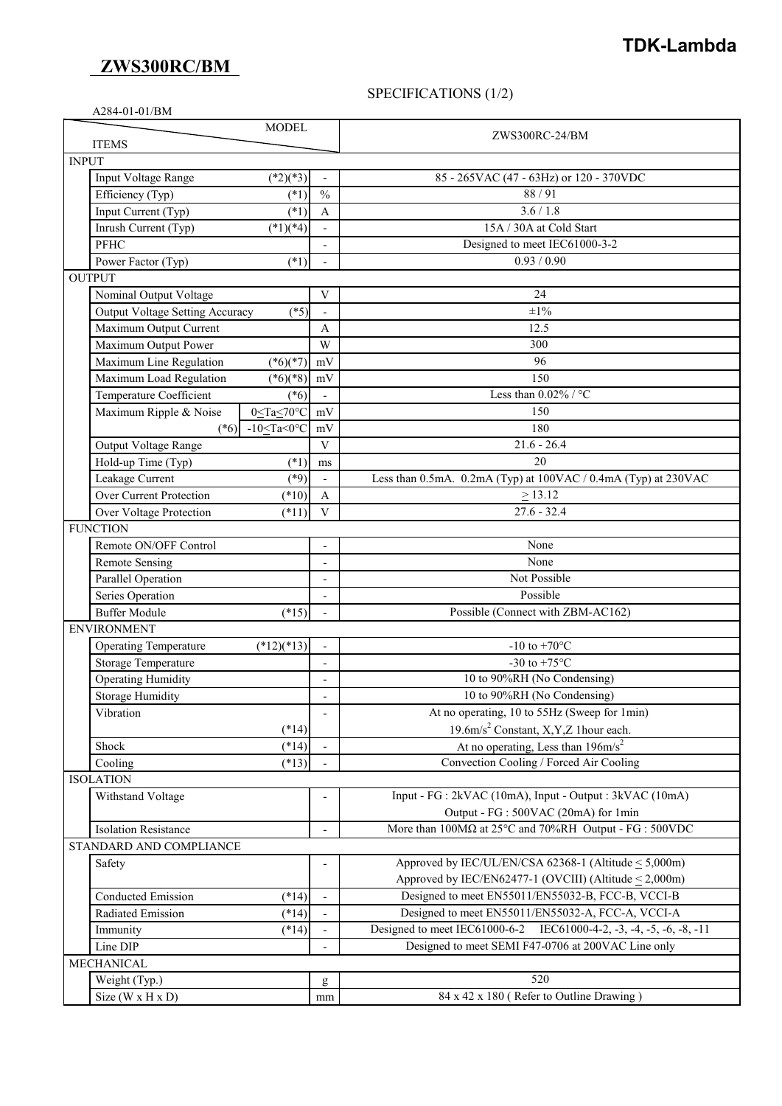## **ZWS300RC/BM**

# **TDK-Lambda**

### SPECIFICATIONS (1/2)

|                         | <b>MODEL</b>                                           |                              | ZWS300RC-24/BM                                                              |  |  |  |
|-------------------------|--------------------------------------------------------|------------------------------|-----------------------------------------------------------------------------|--|--|--|
|                         | <b>ITEMS</b>                                           |                              |                                                                             |  |  |  |
| <b>INPUT</b>            |                                                        |                              |                                                                             |  |  |  |
|                         | $(*2)(*3)$<br>Input Voltage Range                      |                              | 85 - 265VAC (47 - 63Hz) or 120 - 370VDC                                     |  |  |  |
|                         | Efficiency (Typ)<br>$(*1)$                             | $\frac{0}{0}$                | 88/91                                                                       |  |  |  |
|                         | Input Current (Typ)<br>$(*1)$                          | $\overline{A}$               | 3.6 / 1.8                                                                   |  |  |  |
|                         | Inrush Current (Typ)<br>$(*1)(*4)$                     |                              | 15A / 30A at Cold Start                                                     |  |  |  |
|                         | <b>PFHC</b>                                            |                              | Designed to meet IEC61000-3-2                                               |  |  |  |
|                         | Power Factor (Typ)<br>$(*1)$                           |                              | 0.93 / 0.90                                                                 |  |  |  |
| <b>OUTPUT</b>           |                                                        |                              |                                                                             |  |  |  |
|                         | Nominal Output Voltage                                 | V                            | 24                                                                          |  |  |  |
|                         | <b>Output Voltage Setting Accuracy</b><br>$(*5)$       | $\overline{\phantom{0}}$     | $\pm 1\%$                                                                   |  |  |  |
|                         | Maximum Output Current                                 | Α                            | 12.5                                                                        |  |  |  |
|                         | Maximum Output Power                                   | W                            | 300                                                                         |  |  |  |
|                         | Maximum Line Regulation<br>$(*6)(*7)$                  | mV                           | 96                                                                          |  |  |  |
|                         | $(*6)(*8)$<br>Maximum Load Regulation                  | mV                           | 150                                                                         |  |  |  |
|                         | Temperature Coefficient<br>$(*6)$                      |                              | Less than $0.02\%$ / °C                                                     |  |  |  |
|                         | $0 \leq Ta \leq 70^{\circ}C$<br>Maximum Ripple & Noise | mV                           | 150                                                                         |  |  |  |
|                         | (*6) $-10 \leq Ta \leq 0^{\circ}C$                     | mV                           | 180                                                                         |  |  |  |
|                         | Output Voltage Range                                   | $\ensuremath{\mathbf{V}}$    | $21.6 - 26.4$                                                               |  |  |  |
|                         | Hold-up Time (Typ)<br>$(*1)$                           | ms                           | 20                                                                          |  |  |  |
|                         | Leakage Current<br>$(*9)$                              | $\overline{\phantom{0}}$     | Less than 0.5mA. 0.2mA (Typ) at 100VAC / 0.4mA (Typ) at 230VAC              |  |  |  |
|                         | <b>Over Current Protection</b><br>$(*10)$              | A                            | $\geq$ 13.12                                                                |  |  |  |
|                         | Over Voltage Protection<br>$(*11)$                     | $\overline{V}$               | $27.6 - 32.4$                                                               |  |  |  |
|                         | <b>FUNCTION</b>                                        |                              |                                                                             |  |  |  |
|                         | Remote ON/OFF Control                                  | $\overline{\phantom{a}}$     | None                                                                        |  |  |  |
|                         | <b>Remote Sensing</b>                                  | $\overline{a}$               | None                                                                        |  |  |  |
|                         | Parallel Operation                                     | $\overline{a}$               | Not Possible                                                                |  |  |  |
|                         | Series Operation                                       | $\overline{\phantom{a}}$     | Possible                                                                    |  |  |  |
|                         | <b>Buffer Module</b><br>$(*15)$                        | $\overline{a}$               | Possible (Connect with ZBM-AC162)                                           |  |  |  |
|                         | <b>ENVIRONMENT</b>                                     |                              |                                                                             |  |  |  |
|                         | $(*12)(*13)$<br><b>Operating Temperature</b>           |                              | -10 to +70 $^{\circ}$ C                                                     |  |  |  |
|                         | Storage Temperature                                    | $\overline{\phantom{0}}$     | -30 to +75 $^{\circ}$ C                                                     |  |  |  |
|                         | <b>Operating Humidity</b>                              | $\overline{\phantom{a}}$     | 10 to 90%RH (No Condensing)                                                 |  |  |  |
|                         | <b>Storage Humidity</b>                                | $\qquad \qquad \blacksquare$ | 10 to 90%RH (No Condensing)                                                 |  |  |  |
|                         | Vibration                                              | $\overline{\phantom{a}}$     | At no operating, 10 to 55Hz (Sweep for 1min)                                |  |  |  |
|                         | $(*14)$                                                |                              | 19.6m/s <sup>2</sup> Constant, X,Y,Z 1hour each.                            |  |  |  |
|                         | $(*14)$<br>Shock                                       |                              | At no operating, Less than $196 \text{m/s}^2$                               |  |  |  |
|                         | Cooling<br>$(*13)$                                     |                              | Convection Cooling / Forced Air Cooling                                     |  |  |  |
|                         | <b>ISOLATION</b>                                       |                              |                                                                             |  |  |  |
|                         | Withstand Voltage                                      |                              | Input - FG : 2kVAC (10mA), Input - Output : 3kVAC (10mA)                    |  |  |  |
|                         |                                                        |                              | Output - FG : 500VAC (20mA) for 1min                                        |  |  |  |
|                         | <b>Isolation Resistance</b>                            |                              | More than $100M\Omega$ at $25^{\circ}$ C and $70\%$ RH Output - FG : 500VDC |  |  |  |
| STANDARD AND COMPLIANCE |                                                        |                              |                                                                             |  |  |  |
|                         | Safety                                                 |                              | Approved by IEC/UL/EN/CSA 62368-1 (Altitude $\leq 5,000$ m)                 |  |  |  |
|                         |                                                        |                              | Approved by IEC/EN62477-1 (OVCIII) (Altitude $\leq$ 2,000m)                 |  |  |  |
|                         | <b>Conducted Emission</b><br>$(*14)$                   | $\overline{a}$               | Designed to meet EN55011/EN55032-B, FCC-B, VCCI-B                           |  |  |  |
|                         | Radiated Emission<br>$(*14)$                           |                              | Designed to meet EN55011/EN55032-A, FCC-A, VCCI-A                           |  |  |  |
|                         | $(*14)$<br>Immunity                                    |                              | Designed to meet IEC61000-6-2 IEC61000-4-2, -3, -4, -5, -6, -8, -11         |  |  |  |
|                         | Line DIP                                               |                              | Designed to meet SEMI F47-0706 at 200VAC Line only                          |  |  |  |
|                         | MECHANICAL                                             |                              |                                                                             |  |  |  |
|                         | Weight (Typ.)                                          | g                            | 520                                                                         |  |  |  |
|                         | Size $(W \times H \times D)$                           | mm                           | $84 \times 42 \times 180$ (Refer to Outline Drawing)                        |  |  |  |
|                         |                                                        |                              |                                                                             |  |  |  |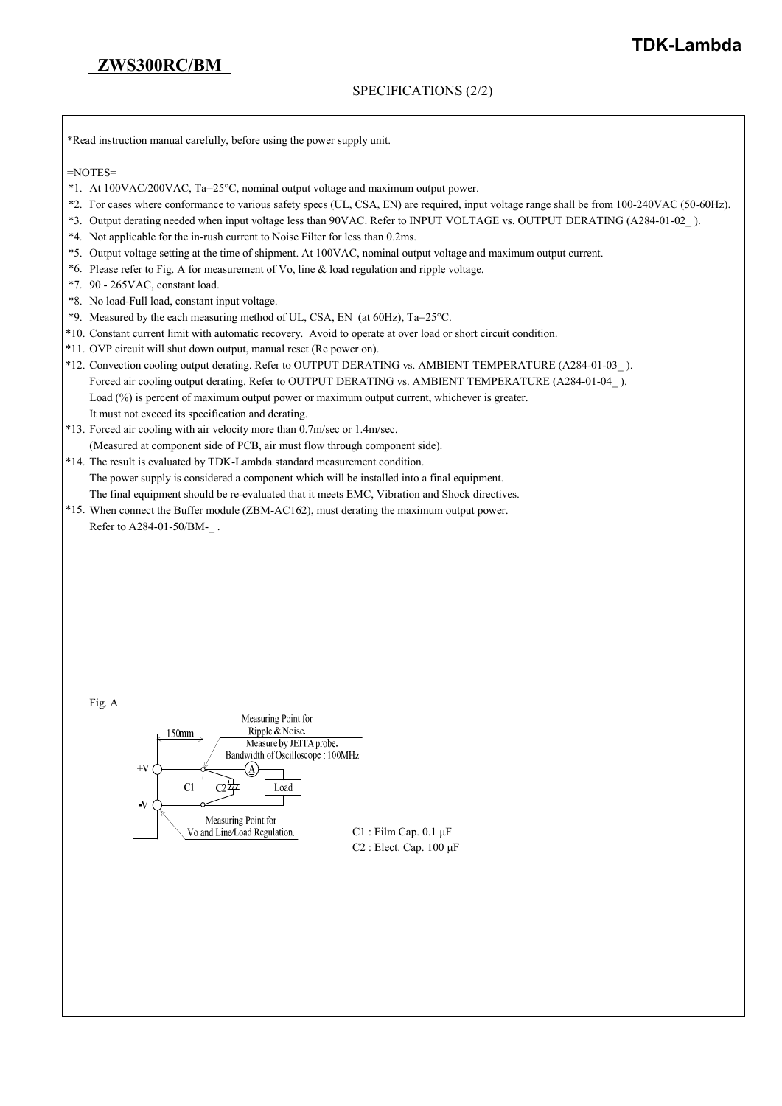## **ZWS300RC/BM**

#### SPECIFICATIONS (2/2)

\*Read instruction manual carefully, before using the power supply unit.

 $=$ NOTES $=$ 

- \*1. At 100VAC/200VAC, Ta=25°C, nominal output voltage and maximum output power.
- \*2. For cases where conformance to various safety specs (UL, CSA, EN) are required, input voltage range shall be from 100-240VAC (50-60Hz).
- \*3. Output derating needed when input voltage less than 90VAC. Refer to INPUT VOLTAGE vs. OUTPUT DERATING (A284-01-02\_ ).
- \*4. Not applicable for the in-rush current to Noise Filter for less than 0.2ms.
- \*5. Output voltage setting at the time of shipment. At 100VAC, nominal output voltage and maximum output current.
- \*6. Please refer to Fig. A for measurement of Vo, line & load regulation and ripple voltage.
- \*7. 90 265VAC, constant load.
- \*8. No load-Full load, constant input voltage.
- \*9. Measured by the each measuring method of UL, CSA, EN (at 60Hz), Ta=25°C.
- \*10. Constant current limit with automatic recovery. Avoid to operate at over load or short circuit condition.
- \*11. OVP circuit will shut down output, manual reset (Re power on).
- \*12. Convection cooling output derating. Refer to OUTPUT DERATING vs. AMBIENT TEMPERATURE (A284-01-03\_ ). Forced air cooling output derating. Refer to OUTPUT DERATING vs. AMBIENT TEMPERATURE (A284-01-04 ). Load (%) is percent of maximum output power or maximum output current, whichever is greater. It must not exceed its specification and derating.
- \*13. Forced air cooling with air velocity more than 0.7m/sec or 1.4m/sec. (Measured at component side of PCB, air must flow through component side).
- \*14. The result is evaluated by TDK-Lambda standard measurement condition. The power supply is considered a component which will be installed into a final equipment. The final equipment should be re-evaluated that it meets EMC, Vibration and Shock directives.
- \*15. When connect the Buffer module (ZBM-AC162), must derating the maximum output power. Refer to A284-01-50/BM-\_ .

| Fig. A |                                   |
|--------|-----------------------------------|
|        | Measuring Point for               |
|        | Ripple & Noise.<br>150mm          |
|        | Measure by JEITA probe.           |
|        | Bandwidth of Oscilloscope: 100MHz |
|        | $+V$                              |
|        | Load<br>C.                        |
|        | -V                                |
|        | Measuring Point for               |
|        | Vo and Line/Load Regulation.      |
|        | ∩∩                                |

Film Cap.  $0.1 \mu$ F C2 : Elect. Cap. 100 μF